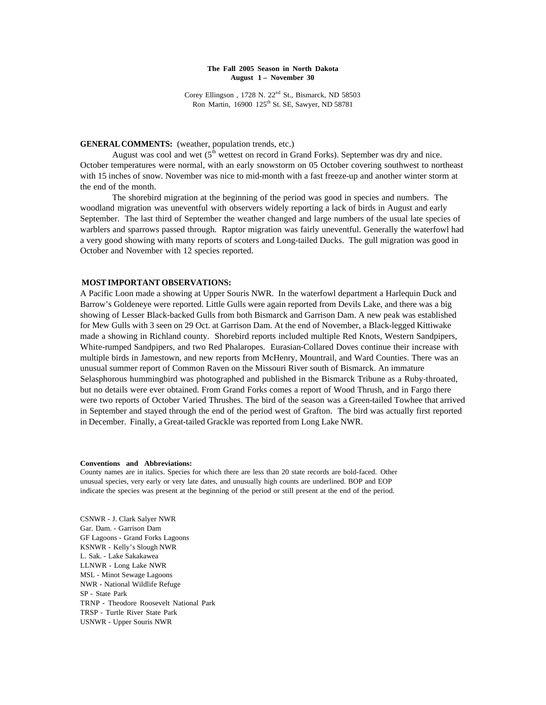## **The Fall 2005 Season in North Dakota August 1 – November 30**

Corey Ellingson, 1728 N. 22<sup>nd</sup> St., Bismarck, ND 58503 Ron Martin, 16900 125<sup>th</sup> St. SE, Sawyer, ND 58781

# **GENERAL COMMENTS:** (weather, population trends, etc.)

August was cool and wet  $(5<sup>th</sup>$  wettest on record in Grand Forks). September was dry and nice. October temperatures were normal, with an early snowstorm on 05 October covering southwest to northeast with 15 inches of snow. November was nice to mid-month with a fast freeze-up and another winter storm at the end of the month.

The shorebird migration at the beginning of the period was good in species and numbers. The woodland migration was uneventful with observers widely reporting a lack of birds in August and early September. The last third of September the weather changed and large numbers of the usual late species of warblers and sparrows passed through. Raptor migration was fairly uneventful. Generally the waterfowl had a very good showing with many reports of scoters and Long-tailed Ducks. The gull migration was good in October and November with 12 species reported.

# **MOST IMPORTANT OBSERVATIONS:**

A Pacific Loon made a showing at Upper Souris NWR. In the waterfowl department a Harlequin Duck and Barrow's Goldeneye were reported. Little Gulls were again reported from Devils Lake, and there was a big showing of Lesser Black-backed Gulls from both Bismarck and Garrison Dam. A new peak was established for Mew Gulls with 3 seen on 29 Oct. at Garrison Dam. At the end of November, a Black-legged Kittiwake made a showing in Richland county. Shorebird reports included multiple Red Knots, Western Sandpipers, White-rumped Sandpipers, and two Red Phalaropes. Eurasian-Collared Doves continue their increase with multiple birds in Jamestown, and new reports from McHenry, Mountrail, and Ward Counties. There was an unusual summer report of Common Raven on the Missouri River south of Bismarck. An immature Selasphorous hummingbird was photographed and published in the Bismarck Tribune as a Ruby-throated, but no details were ever obtained. From Grand Forks comes a report of Wood Thrush, and in Fargo there were two reports of October Varied Thrushes. The bird of the season was a Green-tailed Towhee that arrived in September and stayed through the end of the period west of Grafton. The bird was actually first reported in December. Finally, a Great-tailed Grackle was reported from Long Lake NWR.

#### **Conventions and Abbreviations:**

County names are in italics. Species for which there are less than 20 state records are bold-faced. Other unusual species, very early or very late dates, and unusually high counts are underlined. BOP and EOP indicate the species was present at the beginning of the period or still present at the end of the period.

CSNWR - J. Clark Salyer NWR Gar. Dam. - Garrison Dam GF Lagoons - Grand Forks Lagoons KSNWR - Kelly's Slough NWR L. Sak. - Lake Sakakawea LLNWR - Long Lake NWR MSL - Minot Sewage Lagoons NWR - National Wildlife Refuge SP - State Park TRNP - Theodore Roosevelt National Park TRSP - Turtle River State Park USNWR - Upper Souris NWR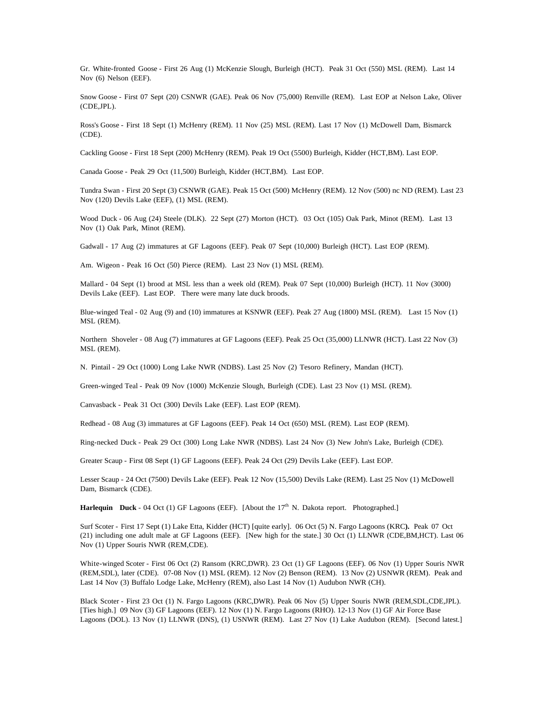Gr. White-fronted Goose - First 26 Aug (1) McKenzie Slough, Burleigh (HCT). Peak 31 Oct (550) MSL (REM). Last 14 Nov (6) Nelson (EEF).

Snow Goose - First 07 Sept (20) CSNWR (GAE). Peak 06 Nov (75,000) Renville (REM). Last EOP at Nelson Lake, Oliver (CDE,JPL).

Ross's Goose - First 18 Sept (1) McHenry (REM). 11 Nov (25) MSL (REM). Last 17 Nov (1) McDowell Dam, Bismarck (CDE).

Cackling Goose - First 18 Sept (200) McHenry (REM). Peak 19 Oct (5500) Burleigh, Kidder (HCT,BM). Last EOP.

Canada Goose - Peak 29 Oct (11,500) Burleigh, Kidder (HCT,BM). Last EOP.

Tundra Swan - First 20 Sept (3) CSNWR (GAE). Peak 15 Oct (500) McHenry (REM). 12 Nov (500) nc ND (REM). Last 23 Nov (120) Devils Lake (EEF), (1) MSL (REM).

Wood Duck - 06 Aug (24) Steele (DLK). 22 Sept (27) Morton (HCT). 03 Oct (105) Oak Park, Minot (REM). Last 13 Nov (1) Oak Park, Minot (REM).

Gadwall - 17 Aug (2) immatures at GF Lagoons (EEF). Peak 07 Sept (10,000) Burleigh (HCT). Last EOP (REM).

Am. Wigeon - Peak 16 Oct (50) Pierce (REM). Last 23 Nov (1) MSL (REM).

Mallard - 04 Sept (1) brood at MSL less than a week old (REM). Peak 07 Sept (10,000) Burleigh (HCT). 11 Nov (3000) Devils Lake (EEF). Last EOP. There were many late duck broods.

Blue-winged Teal - 02 Aug (9) and (10) immatures at KSNWR (EEF). Peak 27 Aug (1800) MSL (REM). Last 15 Nov (1) MSL (REM).

Northern Shoveler - 08 Aug (7) immatures at GF Lagoons (EEF). Peak 25 Oct (35,000) LLNWR (HCT). Last 22 Nov (3) MSL (REM).

N. Pintail - 29 Oct (1000) Long Lake NWR (NDBS). Last 25 Nov (2) Tesoro Refinery, Mandan (HCT).

Green-winged Teal - Peak 09 Nov (1000) McKenzie Slough, Burleigh (CDE). Last 23 Nov (1) MSL (REM).

Canvasback - Peak 31 Oct (300) Devils Lake (EEF). Last EOP (REM).

Redhead - 08 Aug (3) immatures at GF Lagoons (EEF). Peak 14 Oct (650) MSL (REM). Last EOP (REM).

Ring-necked Duck - Peak 29 Oct (300) Long Lake NWR (NDBS). Last 24 Nov (3) New John's Lake, Burleigh (CDE).

Greater Scaup - First 08 Sept (1) GF Lagoons (EEF). Peak 24 Oct (29) Devils Lake (EEF). Last EOP.

Lesser Scaup - 24 Oct (7500) Devils Lake (EEF). Peak 12 Nov (15,500) Devils Lake (REM). Last 25 Nov (1) McDowell Dam, Bismarck (CDE).

**Harlequin** Duck  $\text{-} 04$  Oct (1) GF Lagoons (EEF). [About the  $17^{\text{th}}$  N. Dakota report. Photographed.]

Surf Scoter - First 17 Sept (1) Lake Etta, Kidder (HCT) [quite early]. 06 Oct (5) N. Fargo Lagoons (KRC**).** Peak 07 Oct (21) including one adult male at GF Lagoons (EEF). [New high for the state.] 30 Oct (1) LLNWR (CDE,BM,HCT). Last 06 Nov (1) Upper Souris NWR (REM,CDE).

White-winged Scoter - First 06 Oct (2) Ransom (KRC,DWR). 23 Oct (1) GF Lagoons (EEF). 06 Nov (1) Upper Souris NWR (REM,SDL), later (CDE). 07-08 Nov (1) MSL (REM). 12 Nov (2) Benson (REM). 13 Nov (2) USNWR (REM). Peak and Last 14 Nov (3) Buffalo Lodge Lake, McHenry (REM), also Last 14 Nov (1) Audubon NWR (CH).

Black Scoter - First 23 Oct (1) N. Fargo Lagoons (KRC,DWR). Peak 06 Nov (5) Upper Souris NWR (REM,SDL,CDE,JPL). [Ties high.] 09 Nov (3) GF Lagoons (EEF). 12 Nov (1) N. Fargo Lagoons (RHO). 12-13 Nov (1) GF Air Force Base Lagoons (DOL). 13 Nov (1) LLNWR (DNS), (1) USNWR (REM). Last 27 Nov (1) Lake Audubon (REM). [Second latest.]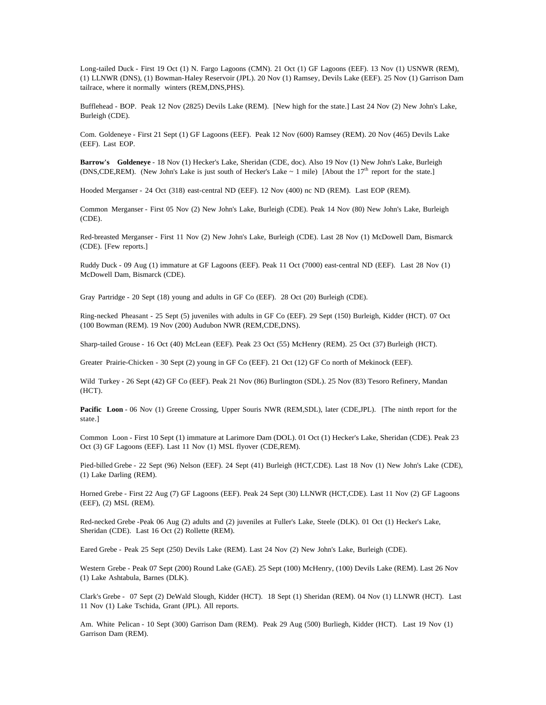Long-tailed Duck - First 19 Oct (1) N. Fargo Lagoons (CMN). 21 Oct (1) GF Lagoons (EEF). 13 Nov (1) USNWR (REM), (1) LLNWR (DNS), (1) Bowman-Haley Reservoir (JPL). 20 Nov (1) Ramsey, Devils Lake (EEF). 25 Nov (1) Garrison Dam tailrace, where it normally winters (REM,DNS,PHS).

Bufflehead - BOP. Peak 12 Nov (2825) Devils Lake (REM). [New high for the state.] Last 24 Nov (2) New John's Lake, Burleigh (CDE).

Com. Goldeneye - First 21 Sept (1) GF Lagoons (EEF). Peak 12 Nov (600) Ramsey (REM). 20 Nov (465) Devils Lake (EEF). Last EOP.

**Barrow's Goldeneye** - 18 Nov (1) Hecker's Lake, Sheridan (CDE, doc). Also 19 Nov (1) New John's Lake, Burleigh (DNS,CDE,REM). (New John's Lake is just south of Hecker's Lake  $\sim 1$  mile) [About the 17<sup>th</sup> report for the state.]

Hooded Merganser - 24 Oct (318) east-central ND (EEF). 12 Nov (400) nc ND (REM). Last EOP (REM).

Common Merganser - First 05 Nov (2) New John's Lake, Burleigh (CDE). Peak 14 Nov (80) New John's Lake, Burleigh (CDE).

Red-breasted Merganser - First 11 Nov (2) New John's Lake, Burleigh (CDE). Last 28 Nov (1) McDowell Dam, Bismarck (CDE). [Few reports.]

Ruddy Duck - 09 Aug (1) immature at GF Lagoons (EEF). Peak 11 Oct (7000) east-central ND (EEF). Last 28 Nov (1) McDowell Dam, Bismarck (CDE).

Gray Partridge - 20 Sept (18) young and adults in GF Co (EEF). 28 Oct (20) Burleigh (CDE).

Ring-necked Pheasant - 25 Sept (5) juveniles with adults in GF Co (EEF). 29 Sept (150) Burleigh, Kidder (HCT). 07 Oct (100 Bowman (REM). 19 Nov (200) Audubon NWR (REM,CDE,DNS).

Sharp-tailed Grouse - 16 Oct (40) McLean (EEF). Peak 23 Oct (55) McHenry (REM). 25 Oct (37) Burleigh (HCT).

Greater Prairie-Chicken - 30 Sept (2) young in GF Co (EEF). 21 Oct (12) GF Co north of Mekinock (EEF).

Wild Turkey - 26 Sept (42) GF Co (EEF). Peak 21 Nov (86) Burlington (SDL). 25 Nov (83) Tesoro Refinery, Mandan (HCT).

Pacific Loon - 06 Nov (1) Greene Crossing, Upper Souris NWR (REM,SDL), later (CDE,JPL). [The ninth report for the state.]

Common Loon - First 10 Sept (1) immature at Larimore Dam (DOL). 01 Oct (1) Hecker's Lake, Sheridan (CDE). Peak 23 Oct (3) GF Lagoons (EEF). Last 11 Nov (1) MSL flyover (CDE,REM).

Pied-billed Grebe - 22 Sept (96) Nelson (EEF). 24 Sept (41) Burleigh (HCT,CDE). Last 18 Nov (1) New John's Lake (CDE), (1) Lake Darling (REM).

Horned Grebe - First 22 Aug (7) GF Lagoons (EEF). Peak 24 Sept (30) LLNWR (HCT,CDE). Last 11 Nov (2) GF Lagoons (EEF), (2) MSL (REM).

Red-necked Grebe -Peak 06 Aug (2) adults and (2) juveniles at Fuller's Lake, Steele (DLK). 01 Oct (1) Hecker's Lake, Sheridan (CDE). Last 16 Oct (2) Rollette (REM).

Eared Grebe - Peak 25 Sept (250) Devils Lake (REM). Last 24 Nov (2) New John's Lake, Burleigh (CDE).

Western Grebe - Peak 07 Sept (200) Round Lake (GAE). 25 Sept (100) McHenry, (100) Devils Lake (REM). Last 26 Nov (1) Lake Ashtabula, Barnes (DLK).

Clark's Grebe - 07 Sept (2) DeWald Slough, Kidder (HCT). 18 Sept (1) Sheridan (REM). 04 Nov (1) LLNWR (HCT). Last 11 Nov (1) Lake Tschida, Grant (JPL). All reports.

Am. White Pelican - 10 Sept (300) Garrison Dam (REM). Peak 29 Aug (500) Burliegh, Kidder (HCT). Last 19 Nov (1) Garrison Dam (REM).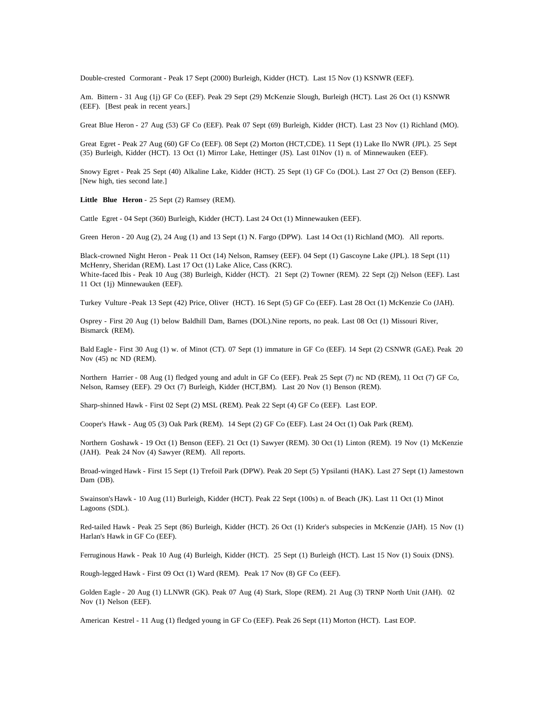Double-crested Cormorant - Peak 17 Sept (2000) Burleigh, Kidder (HCT). Last 15 Nov (1) KSNWR (EEF).

Am. Bittern - 31 Aug (1j) GF Co (EEF). Peak 29 Sept (29) McKenzie Slough, Burleigh (HCT). Last 26 Oct (1) KSNWR (EEF). [Best peak in recent years.]

Great Blue Heron - 27 Aug (53) GF Co (EEF). Peak 07 Sept (69) Burleigh, Kidder (HCT). Last 23 Nov (1) Richland (MO).

Great Egret - Peak 27 Aug (60) GF Co (EEF). 08 Sept (2) Morton (HCT,CDE). 11 Sept (1) Lake Ilo NWR (JPL). 25 Sept (35) Burleigh, Kidder (HCT). 13 Oct (1) Mirror Lake, Hettinger (JS). Last 01Nov (1) n. of Minnewauken (EEF).

Snowy Egret - Peak 25 Sept (40) Alkaline Lake, Kidder (HCT). 25 Sept (1) GF Co (DOL). Last 27 Oct (2) Benson (EEF). [New high, ties second late.]

**Little Blue Heron** - 25 Sept (2) Ramsey (REM).

Cattle Egret - 04 Sept (360) Burleigh, Kidder (HCT). Last 24 Oct (1) Minnewauken (EEF).

Green Heron - 20 Aug (2), 24 Aug (1) and 13 Sept (1) N. Fargo (DPW). Last 14 Oct (1) Richland (MO). All reports.

Black-crowned Night Heron - Peak 11 Oct (14) Nelson, Ramsey (EEF). 04 Sept (1) Gascoyne Lake (JPL). 18 Sept (11) McHenry, Sheridan (REM). Last 17 Oct (1) Lake Alice, Cass (KRC). White-faced Ibis - Peak 10 Aug (38) Burleigh, Kidder (HCT). 21 Sept (2) Towner (REM). 22 Sept (2j) Nelson (EEF). Last 11 Oct (1j) Minnewauken (EEF).

Turkey Vulture -Peak 13 Sept (42) Price, Oliver (HCT). 16 Sept (5) GF Co (EEF). Last 28 Oct (1) McKenzie Co (JAH).

Osprey - First 20 Aug (1) below Baldhill Dam, Barnes (DOL).Nine reports, no peak. Last 08 Oct (1) Missouri River, Bismarck (REM).

Bald Eagle - First 30 Aug (1) w. of Minot (CT). 07 Sept (1) immature in GF Co (EEF). 14 Sept (2) CSNWR (GAE). Peak 20 Nov (45) nc ND (REM).

Northern Harrier - 08 Aug (1) fledged young and adult in GF Co (EEF). Peak 25 Sept (7) nc ND (REM), 11 Oct (7) GF Co, Nelson, Ramsey (EEF). 29 Oct (7) Burleigh, Kidder (HCT,BM). Last 20 Nov (1) Benson (REM).

Sharp-shinned Hawk - First 02 Sept (2) MSL (REM). Peak 22 Sept (4) GF Co (EEF). Last EOP.

Cooper's Hawk - Aug 05 (3) Oak Park (REM). 14 Sept (2) GF Co (EEF). Last 24 Oct (1) Oak Park (REM).

Northern Goshawk - 19 Oct (1) Benson (EEF). 21 Oct (1) Sawyer (REM). 30 Oct (1) Linton (REM). 19 Nov (1) McKenzie (JAH). Peak 24 Nov (4) Sawyer (REM). All reports.

Broad-winged Hawk - First 15 Sept (1) Trefoil Park (DPW). Peak 20 Sept (5) Ypsilanti (HAK). Last 27 Sept (1) Jamestown Dam (DB).

Swainson's Hawk - 10 Aug (11) Burleigh, Kidder (HCT). Peak 22 Sept (100s) n. of Beach (JK). Last 11 Oct (1) Minot Lagoons (SDL).

Red-tailed Hawk - Peak 25 Sept (86) Burleigh, Kidder (HCT). 26 Oct (1) Krider's subspecies in McKenzie (JAH). 15 Nov (1) Harlan's Hawk in GF Co (EEF).

Ferruginous Hawk - Peak 10 Aug (4) Burleigh, Kidder (HCT). 25 Sept (1) Burleigh (HCT). Last 15 Nov (1) Souix (DNS).

Rough-legged Hawk - First 09 Oct (1) Ward (REM). Peak 17 Nov (8) GF Co (EEF).

Golden Eagle - 20 Aug (1) LLNWR (GK). Peak 07 Aug (4) Stark, Slope (REM). 21 Aug (3) TRNP North Unit (JAH). 02 Nov (1) Nelson (EEF).

American Kestrel - 11 Aug (1) fledged young in GF Co (EEF). Peak 26 Sept (11) Morton (HCT). Last EOP.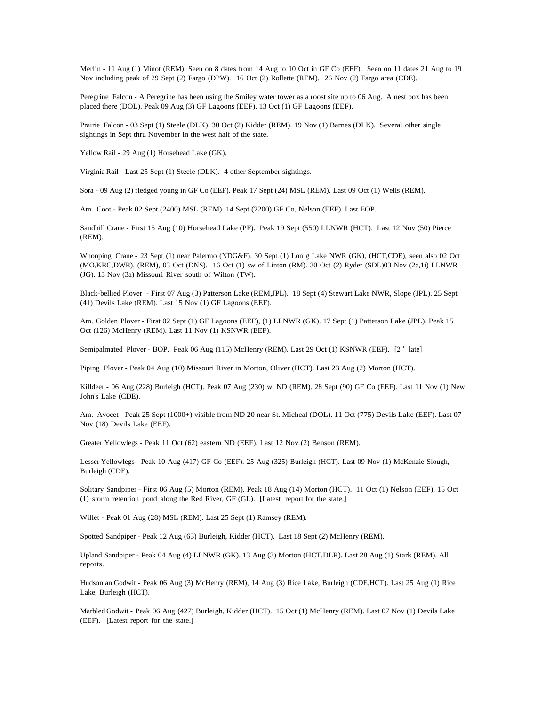Merlin - 11 Aug (1) Minot (REM). Seen on 8 dates from 14 Aug to 10 Oct in GF Co (EEF). Seen on 11 dates 21 Aug to 19 Nov including peak of 29 Sept (2) Fargo (DPW). 16 Oct (2) Rollette (REM). 26 Nov (2) Fargo area (CDE).

Peregrine Falcon - A Peregrine has been using the Smiley water tower as a roost site up to 06 Aug. A nest box has been placed there (DOL). Peak 09 Aug (3) GF Lagoons (EEF). 13 Oct (1) GF Lagoons (EEF).

Prairie Falcon - 03 Sept (1) Steele (DLK). 30 Oct (2) Kidder (REM). 19 Nov (1) Barnes (DLK). Several other single sightings in Sept thru November in the west half of the state.

Yellow Rail - 29 Aug (1) Horsehead Lake (GK).

Virginia Rail - Last 25 Sept (1) Steele (DLK). 4 other September sightings.

Sora - 09 Aug (2) fledged young in GF Co (EEF). Peak 17 Sept (24) MSL (REM). Last 09 Oct (1) Wells (REM).

Am. Coot - Peak 02 Sept (2400) MSL (REM). 14 Sept (2200) GF Co, Nelson (EEF). Last EOP.

Sandhill Crane - First 15 Aug (10) Horsehead Lake (PF). Peak 19 Sept (550) LLNWR (HCT). Last 12 Nov (50) Pierce (REM).

Whooping Crane - 23 Sept (1) near Palermo (NDG&F). 30 Sept (1) Lon g Lake NWR (GK), (HCT,CDE), seen also 02 Oct (MO,KRC,DWR), (REM), 03 Oct (DNS). 16 Oct (1) sw of Linton (RM). 30 Oct (2) Ryder (SDL)03 Nov (2a,1i) LLNWR (JG). 13 Nov (3a) Missouri River south of Wilton (TW).

Black-bellied Plover - First 07 Aug (3) Patterson Lake (REM,JPL). 18 Sept (4) Stewart Lake NWR, Slope (JPL). 25 Sept (41) Devils Lake (REM). Last 15 Nov (1) GF Lagoons (EEF).

Am. Golden Plover - First 02 Sept (1) GF Lagoons (EEF), (1) LLNWR (GK). 17 Sept (1) Patterson Lake (JPL). Peak 15 Oct (126) McHenry (REM). Last 11 Nov (1) KSNWR (EEF).

Semipalmated Plover - BOP. Peak 06 Aug (115) McHenry (REM). Last 29 Oct (1) KSNWR (EEF). [2<sup>nd</sup> late]

Piping Plover - Peak 04 Aug (10) Missouri River in Morton, Oliver (HCT). Last 23 Aug (2) Morton (HCT).

Killdeer - 06 Aug (228) Burleigh (HCT). Peak 07 Aug (230) w. ND (REM). 28 Sept (90) GF Co (EEF). Last 11 Nov (1) New John's Lake (CDE).

Am. Avocet - Peak 25 Sept (1000+) visible from ND 20 near St. Micheal (DOL). 11 Oct (775) Devils Lake (EEF). Last 07 Nov (18) Devils Lake (EEF).

Greater Yellowlegs - Peak 11 Oct (62) eastern ND (EEF). Last 12 Nov (2) Benson (REM).

Lesser Yellowlegs - Peak 10 Aug (417) GF Co (EEF). 25 Aug (325) Burleigh (HCT). Last 09 Nov (1) McKenzie Slough, Burleigh (CDE).

Solitary Sandpiper - First 06 Aug (5) Morton (REM). Peak 18 Aug (14) Morton (HCT). 11 Oct (1) Nelson (EEF). 15 Oct (1) storm retention pond along the Red River, GF (GL). [Latest report for the state.]

Willet - Peak 01 Aug (28) MSL (REM). Last 25 Sept (1) Ramsey (REM).

Spotted Sandpiper - Peak 12 Aug (63) Burleigh, Kidder (HCT). Last 18 Sept (2) McHenry (REM).

Upland Sandpiper - Peak 04 Aug (4) LLNWR (GK). 13 Aug (3) Morton (HCT,DLR). Last 28 Aug (1) Stark (REM). All reports.

Hudsonian Godwit - Peak 06 Aug (3) McHenry (REM), 14 Aug (3) Rice Lake, Burleigh (CDE,HCT). Last 25 Aug (1) Rice Lake, Burleigh (HCT).

Marbled Godwit - Peak 06 Aug (427) Burleigh, Kidder (HCT). 15 Oct (1) McHenry (REM). Last 07 Nov (1) Devils Lake (EEF). [Latest report for the state.]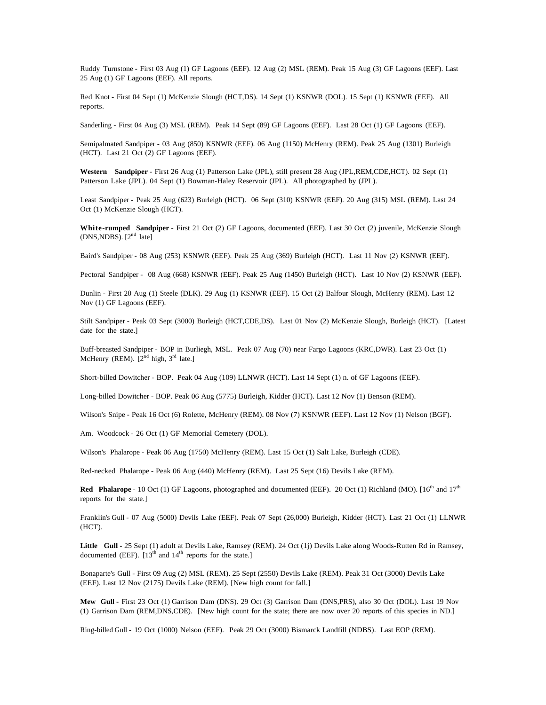Ruddy Turnstone - First 03 Aug (1) GF Lagoons (EEF). 12 Aug (2) MSL (REM). Peak 15 Aug (3) GF Lagoons (EEF). Last 25 Aug (1) GF Lagoons (EEF). All reports.

Red Knot - First 04 Sept (1) McKenzie Slough (HCT,DS). 14 Sept (1) KSNWR (DOL). 15 Sept (1) KSNWR (EEF). All reports.

Sanderling - First 04 Aug (3) MSL (REM). Peak 14 Sept (89) GF Lagoons (EEF). Last 28 Oct (1) GF Lagoons (EEF).

Semipalmated Sandpiper - 03 Aug (850) KSNWR (EEF). 06 Aug (1150) McHenry (REM). Peak 25 Aug (1301) Burleigh (HCT). Last 21 Oct (2) GF Lagoons (EEF).

**Western Sandpiper** - First 26 Aug (1) Patterson Lake (JPL), still present 28 Aug (JPL,REM,CDE,HCT). 02 Sept (1) Patterson Lake (JPL). 04 Sept (1) Bowman-Haley Reservoir (JPL). All photographed by (JPL).

Least Sandpiper - Peak 25 Aug (623) Burleigh (HCT). 06 Sept (310) KSNWR (EEF). 20 Aug (315) MSL (REM). Last 24 Oct (1) McKenzie Slough (HCT).

**White-rumped Sandpiper** - First 21 Oct (2) GF Lagoons, documented (EEF). Last 30 Oct (2) juvenile, McKenzie Slough  $(DNS, NDBS)$ .  $[2<sup>nd</sup>$  late]

Baird's Sandpiper - 08 Aug (253) KSNWR (EEF). Peak 25 Aug (369) Burleigh (HCT). Last 11 Nov (2) KSNWR (EEF).

Pectoral Sandpiper - 08 Aug (668) KSNWR (EEF). Peak 25 Aug (1450) Burleigh (HCT). Last 10 Nov (2) KSNWR (EEF).

Dunlin - First 20 Aug (1) Steele (DLK). 29 Aug (1) KSNWR (EEF). 15 Oct (2) Balfour Slough, McHenry (REM). Last 12 Nov (1) GF Lagoons (EEF).

Stilt Sandpiper - Peak 03 Sept (3000) Burleigh (HCT,CDE,DS). Last 01 Nov (2) McKenzie Slough, Burleigh (HCT). [Latest date for the state.]

Buff-breasted Sandpiper - BOP in Burliegh, MSL. Peak 07 Aug (70) near Fargo Lagoons (KRC,DWR). Last 23 Oct (1) McHenry (REM).  $[2^{nd}$  high,  $3^{rd}$  late.]

Short-billed Dowitcher - BOP. Peak 04 Aug (109) LLNWR (HCT). Last 14 Sept (1) n. of GF Lagoons (EEF).

Long-billed Dowitcher - BOP. Peak 06 Aug (5775) Burleigh, Kidder (HCT). Last 12 Nov (1) Benson (REM).

Wilson's Snipe - Peak 16 Oct (6) Rolette, McHenry (REM). 08 Nov (7) KSNWR (EEF). Last 12 Nov (1) Nelson (BGF).

Am. Woodcock - 26 Oct (1) GF Memorial Cemetery (DOL).

Wilson's Phalarope - Peak 06 Aug (1750) McHenry (REM). Last 15 Oct (1) Salt Lake, Burleigh (CDE).

Red-necked Phalarope - Peak 06 Aug (440) McHenry (REM). Last 25 Sept (16) Devils Lake (REM).

Red Phalarope - 10 Oct (1) GF Lagoons, photographed and documented (EEF). 20 Oct (1) Richland (MO). [16<sup>th</sup> and 17<sup>th</sup> reports for the state.]

Franklin's Gull - 07 Aug (5000) Devils Lake (EEF). Peak 07 Sept (26,000) Burleigh, Kidder (HCT). Last 21 Oct (1) LLNWR (HCT).

Little Gull - 25 Sept (1) adult at Devils Lake, Ramsey (REM). 24 Oct (1j) Devils Lake along Woods-Rutten Rd in Ramsey, documented (EEF).  $[13<sup>th</sup>$  and  $14<sup>th</sup>$  reports for the state.]

Bonaparte's Gull - First 09 Aug (2) MSL (REM). 25 Sept (2550) Devils Lake (REM). Peak 31 Oct (3000) Devils Lake (EEF). Last 12 Nov (2175) Devils Lake (REM). [New high count for fall.]

**Mew Gull** - First 23 Oct (1) Garrison Dam (DNS). 29 Oct (3) Garrison Dam (DNS,PRS), also 30 Oct (DOL). Last 19 Nov (1) Garrison Dam (REM,DNS,CDE). [New high count for the state; there are now over 20 reports of this species in ND.]

Ring-billed Gull - 19 Oct (1000) Nelson (EEF). Peak 29 Oct (3000) Bismarck Landfill (NDBS). Last EOP (REM).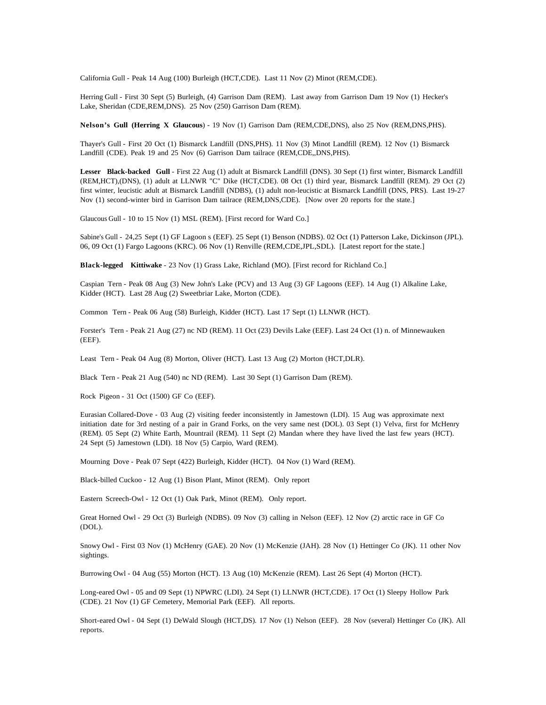California Gull - Peak 14 Aug (100) Burleigh (HCT,CDE). Last 11 Nov (2) Minot (REM,CDE).

Herring Gull - First 30 Sept (5) Burleigh, (4) Garrison Dam (REM). Last away from Garrison Dam 19 Nov (1) Hecker's Lake, Sheridan (CDE,REM,DNS). 25 Nov (250) Garrison Dam (REM).

**Nelson's Gull (Herring X Glaucous**) - 19 Nov (1) Garrison Dam (REM,CDE,DNS), also 25 Nov (REM,DNS,PHS).

Thayer's Gull - First 20 Oct (1) Bismarck Landfill (DNS,PHS). 11 Nov (3) Minot Landfill (REM). 12 Nov (1) Bismarck Landfill (CDE). Peak 19 and 25 Nov (6) Garrison Dam tailrace (REM,CDE,,DNS,PHS).

**Lesser Black-backed Gull** - First 22 Aug (1) adult at Bismarck Landfill (DNS). 30 Sept (1) first winter, Bismarck Landfill (REM,HCT),(DNS), (1) adult at LLNWR "C" Dike (HCT,CDE). 08 Oct (1) third year, Bismarck Landfill (REM). 29 Oct (2) first winter, leucistic adult at Bismarck Landfill (NDBS), (1) adult non-leucistic at Bismarck Landfill (DNS, PRS). Last 19-27 Nov (1) second-winter bird in Garrison Dam tailrace (REM,DNS,CDE). [Now over 20 reports for the state.]

Glaucous Gull - 10 to 15 Nov (1) MSL (REM). [First record for Ward Co.]

Sabine's Gull - 24,25 Sept (1) GF Lagoon s (EEF). 25 Sept (1) Benson (NDBS). 02 Oct (1) Patterson Lake, Dickinson (JPL). 06, 09 Oct (1) Fargo Lagoons (KRC). 06 Nov (1) Renville (REM,CDE,JPL,SDL). [Latest report for the state.]

**Black-legged Kittiwake** - 23 Nov (1) Grass Lake, Richland (MO). [First record for Richland Co.]

Caspian Tern - Peak 08 Aug (3) New John's Lake (PCV) and 13 Aug (3) GF Lagoons (EEF). 14 Aug (1) Alkaline Lake, Kidder (HCT). Last 28 Aug (2) Sweetbriar Lake, Morton (CDE).

Common Tern - Peak 06 Aug (58) Burleigh, Kidder (HCT). Last 17 Sept (1) LLNWR (HCT).

Forster's Tern - Peak 21 Aug (27) nc ND (REM). 11 Oct (23) Devils Lake (EEF). Last 24 Oct (1) n. of Minnewauken (EEF).

Least Tern - Peak 04 Aug (8) Morton, Oliver (HCT). Last 13 Aug (2) Morton (HCT,DLR).

Black Tern - Peak 21 Aug (540) nc ND (REM). Last 30 Sept (1) Garrison Dam (REM).

Rock Pigeon - 31 Oct (1500) GF Co (EEF).

Eurasian Collared-Dove - 03 Aug (2) visiting feeder inconsistently in Jamestown (LDI). 15 Aug was approximate next initiation date for 3rd nesting of a pair in Grand Forks, on the very same nest (DOL). 03 Sept (1) Velva, first for McHenry (REM). 05 Sept (2) White Earth, Mountrail (REM). 11 Sept (2) Mandan where they have lived the last few years (HCT). 24 Sept (5) Jamestown (LDI). 18 Nov (5) Carpio, Ward (REM).

Mourning Dove - Peak 07 Sept (422) Burleigh, Kidder (HCT). 04 Nov (1) Ward (REM).

Black-billed Cuckoo - 12 Aug (1) Bison Plant, Minot (REM). Only report

Eastern Screech-Owl - 12 Oct (1) Oak Park, Minot (REM). Only report.

Great Horned Owl - 29 Oct (3) Burleigh (NDBS). 09 Nov (3) calling in Nelson (EEF). 12 Nov (2) arctic race in GF Co (DOL).

Snowy Owl - First 03 Nov (1) McHenry (GAE). 20 Nov (1) McKenzie (JAH). 28 Nov (1) Hettinger Co (JK). 11 other Nov sightings.

Burrowing Owl - 04 Aug (55) Morton (HCT). 13 Aug (10) McKenzie (REM). Last 26 Sept (4) Morton (HCT).

Long-eared Owl - 05 and 09 Sept (1) NPWRC (LDI). 24 Sept (1) LLNWR (HCT,CDE). 17 Oct (1) Sleepy Hollow Park (CDE). 21 Nov (1) GF Cemetery, Memorial Park (EEF). All reports.

Short-eared Owl - 04 Sept (1) DeWald Slough (HCT,DS). 17 Nov (1) Nelson (EEF). 28 Nov (several) Hettinger Co (JK). All reports.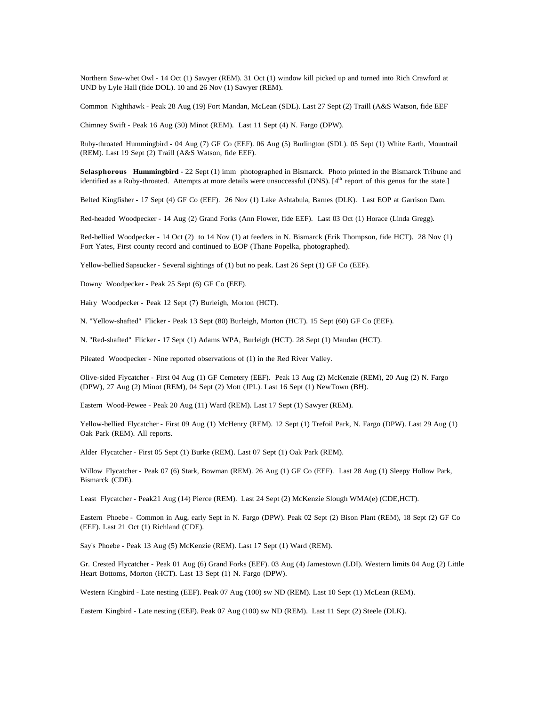Northern Saw-whet Owl - 14 Oct (1) Sawyer (REM). 31 Oct (1) window kill picked up and turned into Rich Crawford at UND by Lyle Hall (fide DOL). 10 and 26 Nov (1) Sawyer (REM).

Common Nighthawk - Peak 28 Aug (19) Fort Mandan, McLean (SDL). Last 27 Sept (2) Traill (A&S Watson, fide EEF

Chimney Swift - Peak 16 Aug (30) Minot (REM). Last 11 Sept (4) N. Fargo (DPW).

Ruby-throated Hummingbird - 04 Aug (7) GF Co (EEF). 06 Aug (5) Burlington (SDL). 05 Sept (1) White Earth, Mountrail (REM). Last 19 Sept (2) Traill (A&S Watson, fide EEF).

**Selasphorous Hummingbird** - 22 Sept (1) imm photographed in Bismarck. Photo printed in the Bismarck Tribune and identified as a Ruby-throated. Attempts at more details were unsuccessful (DNS). [4<sup>th</sup> report of this genus for the state.]

Belted Kingfisher - 17 Sept (4) GF Co (EEF). 26 Nov (1) Lake Ashtabula, Barnes (DLK). Last EOP at Garrison Dam.

Red-headed Woodpecker - 14 Aug (2) Grand Forks (Ann Flower, fide EEF). Last 03 Oct (1) Horace (Linda Gregg).

Red-bellied Woodpecker - 14 Oct (2) to 14 Nov (1) at feeders in N. Bismarck (Erik Thompson, fide HCT). 28 Nov (1) Fort Yates, First county record and continued to EOP (Thane Popelka, photographed).

Yellow-bellied Sapsucker - Several sightings of (1) but no peak. Last 26 Sept (1) GF Co (EEF).

Downy Woodpecker - Peak 25 Sept (6) GF Co (EEF).

Hairy Woodpecker - Peak 12 Sept (7) Burleigh, Morton (HCT).

N. "Yellow-shafted" Flicker - Peak 13 Sept (80) Burleigh, Morton (HCT). 15 Sept (60) GF Co (EEF).

N. "Red-shafted" Flicker - 17 Sept (1) Adams WPA, Burleigh (HCT). 28 Sept (1) Mandan (HCT).

Pileated Woodpecker - Nine reported observations of (1) in the Red River Valley.

Olive-sided Flycatcher - First 04 Aug (1) GF Cemetery (EEF). Peak 13 Aug (2) McKenzie (REM), 20 Aug (2) N. Fargo (DPW), 27 Aug (2) Minot (REM), 04 Sept (2) Mott (JPL). Last 16 Sept (1) NewTown (BH).

Eastern Wood-Pewee - Peak 20 Aug (11) Ward (REM). Last 17 Sept (1) Sawyer (REM).

Yellow-bellied Flycatcher - First 09 Aug (1) McHenry (REM). 12 Sept (1) Trefoil Park, N. Fargo (DPW). Last 29 Aug (1) Oak Park (REM). All reports.

Alder Flycatcher - First 05 Sept (1) Burke (REM). Last 07 Sept (1) Oak Park (REM).

Willow Flycatcher - Peak 07 (6) Stark, Bowman (REM). 26 Aug (1) GF Co (EEF). Last 28 Aug (1) Sleepy Hollow Park, Bismarck (CDE).

Least Flycatcher - Peak21 Aug (14) Pierce (REM). Last 24 Sept (2) McKenzie Slough WMA(e) (CDE,HCT).

Eastern Phoebe - Common in Aug, early Sept in N. Fargo (DPW). Peak 02 Sept (2) Bison Plant (REM), 18 Sept (2) GF Co (EEF). Last 21 Oct (1) Richland (CDE).

Say's Phoebe - Peak 13 Aug (5) McKenzie (REM). Last 17 Sept (1) Ward (REM).

Gr. Crested Flycatcher - Peak 01 Aug (6) Grand Forks (EEF). 03 Aug (4) Jamestown (LDI). Western limits 04 Aug (2) Little Heart Bottoms, Morton (HCT). Last 13 Sept (1) N. Fargo (DPW).

Western Kingbird - Late nesting (EEF). Peak 07 Aug (100) sw ND (REM). Last 10 Sept (1) McLean (REM).

Eastern Kingbird - Late nesting (EEF). Peak 07 Aug (100) sw ND (REM). Last 11 Sept (2) Steele (DLK).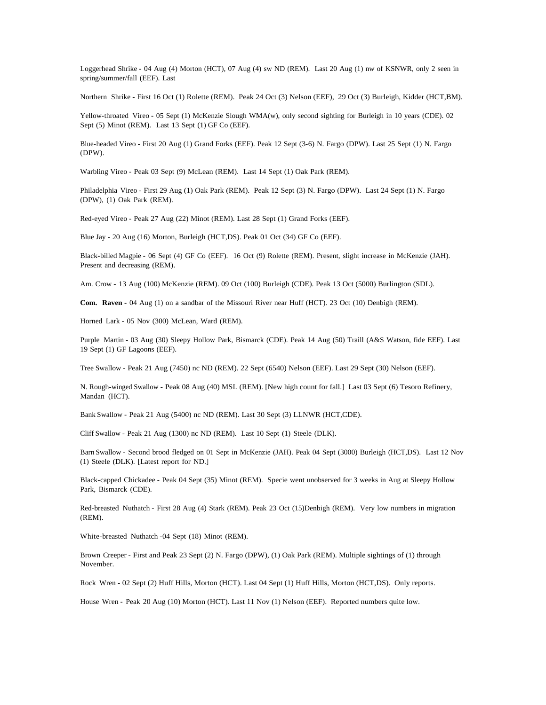Loggerhead Shrike - 04 Aug (4) Morton (HCT), 07 Aug (4) sw ND (REM). Last 20 Aug (1) nw of KSNWR, only 2 seen in spring/summer/fall (EEF). Last

Northern Shrike - First 16 Oct (1) Rolette (REM). Peak 24 Oct (3) Nelson (EEF), 29 Oct (3) Burleigh, Kidder (HCT,BM).

Yellow-throated Vireo - 05 Sept (1) McKenzie Slough WMA(w), only second sighting for Burleigh in 10 years (CDE). 02 Sept (5) Minot (REM). Last 13 Sept (1) GF Co (EEF).

Blue-headed Vireo - First 20 Aug (1) Grand Forks (EEF). Peak 12 Sept (3-6) N. Fargo (DPW). Last 25 Sept (1) N. Fargo (DPW).

Warbling Vireo - Peak 03 Sept (9) McLean (REM). Last 14 Sept (1) Oak Park (REM).

Philadelphia Vireo - First 29 Aug (1) Oak Park (REM). Peak 12 Sept (3) N. Fargo (DPW). Last 24 Sept (1) N. Fargo (DPW), (1) Oak Park (REM).

Red-eyed Vireo - Peak 27 Aug (22) Minot (REM). Last 28 Sept (1) Grand Forks (EEF).

Blue Jay - 20 Aug (16) Morton, Burleigh (HCT,DS). Peak 01 Oct (34) GF Co (EEF).

Black-billed Magpie - 06 Sept (4) GF Co (EEF). 16 Oct (9) Rolette (REM). Present, slight increase in McKenzie (JAH). Present and decreasing (REM).

Am. Crow - 13 Aug (100) McKenzie (REM). 09 Oct (100) Burleigh (CDE). Peak 13 Oct (5000) Burlington (SDL).

**Com. Raven** - 04 Aug (1) on a sandbar of the Missouri River near Huff (HCT). 23 Oct (10) Denbigh (REM).

Horned Lark - 05 Nov (300) McLean, Ward (REM).

Purple Martin - 03 Aug (30) Sleepy Hollow Park, Bismarck (CDE). Peak 14 Aug (50) Traill (A&S Watson, fide EEF). Last 19 Sept (1) GF Lagoons (EEF).

Tree Swallow - Peak 21 Aug (7450) nc ND (REM). 22 Sept (6540) Nelson (EEF). Last 29 Sept (30) Nelson (EEF).

N. Rough-winged Swallow - Peak 08 Aug (40) MSL (REM). [New high count for fall.] Last 03 Sept (6) Tesoro Refinery, Mandan (HCT).

Bank Swallow - Peak 21 Aug (5400) nc ND (REM). Last 30 Sept (3) LLNWR (HCT,CDE).

Cliff Swallow - Peak 21 Aug (1300) nc ND (REM). Last 10 Sept (1) Steele (DLK).

Barn Swallow - Second brood fledged on 01 Sept in McKenzie (JAH). Peak 04 Sept (3000) Burleigh (HCT,DS). Last 12 Nov (1) Steele (DLK). [Latest report for ND.]

Black-capped Chickadee - Peak 04 Sept (35) Minot (REM). Specie went unobserved for 3 weeks in Aug at Sleepy Hollow Park, Bismarck (CDE).

Red-breasted Nuthatch - First 28 Aug (4) Stark (REM). Peak 23 Oct (15)Denbigh (REM). Very low numbers in migration (REM).

White-breasted Nuthatch -04 Sept (18) Minot (REM).

Brown Creeper - First and Peak 23 Sept (2) N. Fargo (DPW), (1) Oak Park (REM). Multiple sightings of (1) through November.

Rock Wren - 02 Sept (2) Huff Hills, Morton (HCT). Last 04 Sept (1) Huff Hills, Morton (HCT,DS). Only reports.

House Wren - Peak 20 Aug (10) Morton (HCT). Last 11 Nov (1) Nelson (EEF). Reported numbers quite low.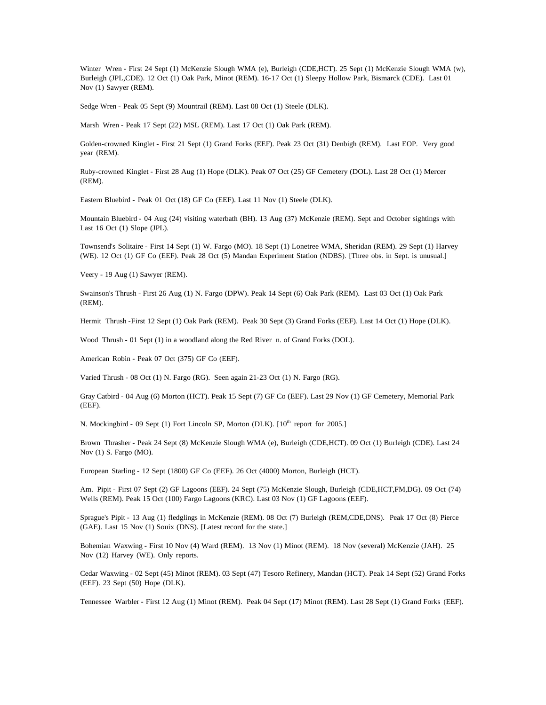Winter Wren - First 24 Sept (1) McKenzie Slough WMA (e), Burleigh (CDE,HCT). 25 Sept (1) McKenzie Slough WMA (w), Burleigh (JPL,CDE). 12 Oct (1) Oak Park, Minot (REM). 16-17 Oct (1) Sleepy Hollow Park, Bismarck (CDE). Last 01 Nov (1) Sawyer (REM).

Sedge Wren - Peak 05 Sept (9) Mountrail (REM). Last 08 Oct (1) Steele (DLK).

Marsh Wren - Peak 17 Sept (22) MSL (REM). Last 17 Oct (1) Oak Park (REM).

Golden-crowned Kinglet - First 21 Sept (1) Grand Forks (EEF). Peak 23 Oct (31) Denbigh (REM). Last EOP. Very good year (REM).

Ruby-crowned Kinglet - First 28 Aug (1) Hope (DLK). Peak 07 Oct (25) GF Cemetery (DOL). Last 28 Oct (1) Mercer (REM).

Eastern Bluebird - Peak 01 Oct (18) GF Co (EEF). Last 11 Nov (1) Steele (DLK).

Mountain Bluebird - 04 Aug (24) visiting waterbath (BH). 13 Aug (37) McKenzie (REM). Sept and October sightings with Last 16 Oct (1) Slope (JPL).

Townsend's Solitaire - First 14 Sept (1) W. Fargo (MO). 18 Sept (1) Lonetree WMA, Sheridan (REM). 29 Sept (1) Harvey (WE). 12 Oct (1) GF Co (EEF). Peak 28 Oct (5) Mandan Experiment Station (NDBS). [Three obs. in Sept. is unusual.]

Veery - 19 Aug (1) Sawyer (REM).

Swainson's Thrush - First 26 Aug (1) N. Fargo (DPW). Peak 14 Sept (6) Oak Park (REM). Last 03 Oct (1) Oak Park (REM).

Hermit Thrush -First 12 Sept (1) Oak Park (REM). Peak 30 Sept (3) Grand Forks (EEF). Last 14 Oct (1) Hope (DLK).

Wood Thrush - 01 Sept (1) in a woodland along the Red River n. of Grand Forks (DOL).

American Robin - Peak 07 Oct (375) GF Co (EEF).

Varied Thrush - 08 Oct (1) N. Fargo (RG). Seen again 21-23 Oct (1) N. Fargo (RG).

Gray Catbird - 04 Aug (6) Morton (HCT). Peak 15 Sept (7) GF Co (EEF). Last 29 Nov (1) GF Cemetery, Memorial Park (EEF).

N. Mockingbird - 09 Sept (1) Fort Lincoln SP, Morton (DLK). [10<sup>th</sup> report for 2005.]

Brown Thrasher - Peak 24 Sept (8) McKenzie Slough WMA (e), Burleigh (CDE,HCT). 09 Oct (1) Burleigh (CDE). Last 24 Nov (1) S. Fargo (MO).

European Starling - 12 Sept (1800) GF Co (EEF). 26 Oct (4000) Morton, Burleigh (HCT).

Am. Pipit - First 07 Sept (2) GF Lagoons (EEF). 24 Sept (75) McKenzie Slough, Burleigh (CDE,HCT,FM,DG). 09 Oct (74) Wells (REM). Peak 15 Oct (100) Fargo Lagoons (KRC). Last 03 Nov (1) GF Lagoons (EEF).

Sprague's Pipit - 13 Aug (1) fledglings in McKenzie (REM). 08 Oct (7) Burleigh (REM,CDE,DNS). Peak 17 Oct (8) Pierce (GAE). Last 15 Nov (1) Souix (DNS). [Latest record for the state.]

Bohemian Waxwing - First 10 Nov (4) Ward (REM). 13 Nov (1) Minot (REM). 18 Nov (several) McKenzie (JAH). 25 Nov (12) Harvey (WE). Only reports.

Cedar Waxwing - 02 Sept (45) Minot (REM). 03 Sept (47) Tesoro Refinery, Mandan (HCT). Peak 14 Sept (52) Grand Forks (EEF). 23 Sept (50) Hope (DLK).

Tennessee Warbler - First 12 Aug (1) Minot (REM). Peak 04 Sept (17) Minot (REM). Last 28 Sept (1) Grand Forks (EEF).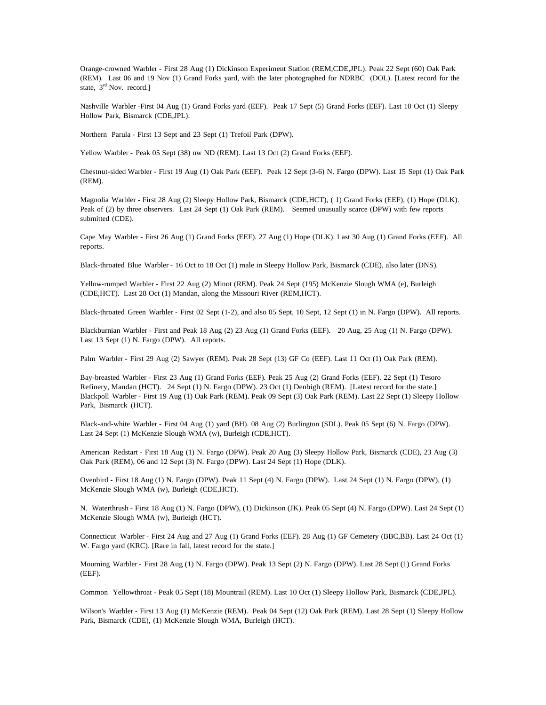Orange-crowned Warbler - First 28 Aug (1) Dickinson Experiment Station (REM,CDE,JPL). Peak 22 Sept (60) Oak Park (REM). Last 06 and 19 Nov (1) Grand Forks yard, with the later photographed for NDRBC (DOL). [Latest record for the state,  $3<sup>rd</sup>$  Nov. record.]

Nashville Warbler -First 04 Aug (1) Grand Forks yard (EEF). Peak 17 Sept (5) Grand Forks (EEF). Last 10 Oct (1) Sleepy Hollow Park, Bismarck (CDE,JPL).

Northern Parula - First 13 Sept and 23 Sept (1) Trefoil Park (DPW).

Yellow Warbler - Peak 05 Sept (38) nw ND (REM). Last 13 Oct (2) Grand Forks (EEF).

Chestnut-sided Warbler - First 19 Aug (1) Oak Park (EEF). Peak 12 Sept (3-6) N. Fargo (DPW). Last 15 Sept (1) Oak Park (REM).

Magnolia Warbler - First 28 Aug (2) Sleepy Hollow Park, Bismarck (CDE,HCT), ( 1) Grand Forks (EEF), (1) Hope (DLK). Peak of (2) by three observers. Last 24 Sept (1) Oak Park (REM). Seemed unusually scarce (DPW) with few reports submitted (CDE).

Cape May Warbler - First 26 Aug (1) Grand Forks (EEF). 27 Aug (1) Hope (DLK). Last 30 Aug (1) Grand Forks (EEF). All reports.

Black-throated Blue Warbler - 16 Oct to 18 Oct (1) male in Sleepy Hollow Park, Bismarck (CDE), also later (DNS).

Yellow-rumped Warbler - First 22 Aug (2) Minot (REM). Peak 24 Sept (195) McKenzie Slough WMA (e), Burleigh (CDE,HCT). Last 28 Oct (1) Mandan, along the Missouri River (REM,HCT).

Black-throated Green Warbler - First 02 Sept (1-2), and also 05 Sept, 10 Sept, 12 Sept (1) in N. Fargo (DPW). All reports.

Blackburnian Warbler - First and Peak 18 Aug (2) 23 Aug (1) Grand Forks (EEF). 20 Aug, 25 Aug (1) N. Fargo (DPW). Last 13 Sept (1) N. Fargo (DPW). All reports.

Palm Warbler - First 29 Aug (2) Sawyer (REM). Peak 28 Sept (13) GF Co (EEF). Last 11 Oct (1) Oak Park (REM).

Bay-breasted Warbler - First 23 Aug (1) Grand Forks (EEF). Peak 25 Aug (2) Grand Forks (EEF). 22 Sept (1) Tesoro Refinery, Mandan (HCT). 24 Sept (1) N. Fargo (DPW). 23 Oct (1) Denbigh (REM). [Latest record for the state.] Blackpoll Warbler - First 19 Aug (1) Oak Park (REM). Peak 09 Sept (3) Oak Park (REM). Last 22 Sept (1) Sleepy Hollow Park, Bismarck (HCT).

Black-and-white Warbler - First 04 Aug (1) yard (BH). 08 Aug (2) Burlington (SDL). Peak 05 Sept (6) N. Fargo (DPW). Last 24 Sept (1) McKenzie Slough WMA (w), Burleigh (CDE,HCT).

American Redstart - First 18 Aug (1) N. Fargo (DPW). Peak 20 Aug (3) Sleepy Hollow Park, Bismarck (CDE), 23 Aug (3) Oak Park (REM), 06 and 12 Sept (3) N. Fargo (DPW). Last 24 Sept (1) Hope (DLK).

Ovenbird - First 18 Aug (1) N. Fargo (DPW). Peak 11 Sept (4) N. Fargo (DPW). Last 24 Sept (1) N. Fargo (DPW), (1) McKenzie Slough WMA (w), Burleigh (CDE,HCT).

N. Waterthrush - First 18 Aug (1) N. Fargo (DPW), (1) Dickinson (JK). Peak 05 Sept (4) N. Fargo (DPW). Last 24 Sept (1) McKenzie Slough WMA (w), Burleigh (HCT).

Connecticut Warbler - First 24 Aug and 27 Aug (1) Grand Forks (EEF). 28 Aug (1) GF Cemetery (BBC,BB). Last 24 Oct (1) W. Fargo yard (KRC). [Rare in fall, latest record for the state.]

Mourning Warbler - First 28 Aug (1) N. Fargo (DPW). Peak 13 Sept (2) N. Fargo (DPW). Last 28 Sept (1) Grand Forks (EEF).

Common Yellowthroat - Peak 05 Sept (18) Mountrail (REM). Last 10 Oct (1) Sleepy Hollow Park, Bismarck (CDE,JPL).

Wilson's Warbler - First 13 Aug (1) McKenzie (REM). Peak 04 Sept (12) Oak Park (REM). Last 28 Sept (1) Sleepy Hollow Park, Bismarck (CDE), (1) McKenzie Slough WMA, Burleigh (HCT).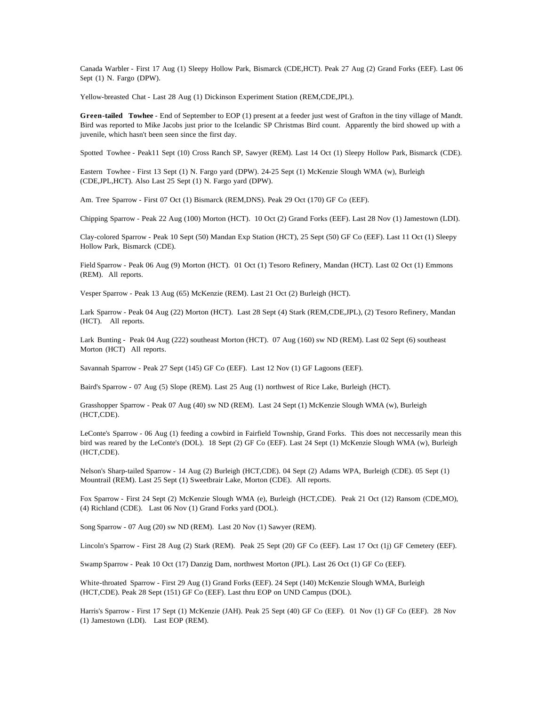Canada Warbler - First 17 Aug (1) Sleepy Hollow Park, Bismarck (CDE,HCT). Peak 27 Aug (2) Grand Forks (EEF). Last 06 Sept (1) N. Fargo (DPW).

Yellow-breasted Chat - Last 28 Aug (1) Dickinson Experiment Station (REM,CDE,JPL).

**Green-tailed Towhee** - End of September to EOP (1) present at a feeder just west of Grafton in the tiny village of Mandt. Bird was reported to Mike Jacobs just prior to the Icelandic SP Christmas Bird count. Apparently the bird showed up with a juvenile, which hasn't been seen since the first day.

Spotted Towhee - Peak11 Sept (10) Cross Ranch SP, Sawyer (REM). Last 14 Oct (1) Sleepy Hollow Park, Bismarck (CDE).

Eastern Towhee - First 13 Sept (1) N. Fargo yard (DPW). 24-25 Sept (1) McKenzie Slough WMA (w), Burleigh (CDE,JPL,HCT). Also Last 25 Sept (1) N. Fargo yard (DPW).

Am. Tree Sparrow - First 07 Oct (1) Bismarck (REM,DNS). Peak 29 Oct (170) GF Co (EEF).

Chipping Sparrow - Peak 22 Aug (100) Morton (HCT). 10 Oct (2) Grand Forks (EEF). Last 28 Nov (1) Jamestown (LDI).

Clay-colored Sparrow - Peak 10 Sept (50) Mandan Exp Station (HCT), 25 Sept (50) GF Co (EEF). Last 11 Oct (1) Sleepy Hollow Park, Bismarck (CDE).

Field Sparrow - Peak 06 Aug (9) Morton (HCT). 01 Oct (1) Tesoro Refinery, Mandan (HCT). Last 02 Oct (1) Emmons (REM). All reports.

Vesper Sparrow - Peak 13 Aug (65) McKenzie (REM). Last 21 Oct (2) Burleigh (HCT).

Lark Sparrow - Peak 04 Aug (22) Morton (HCT). Last 28 Sept (4) Stark (REM,CDE,JPL), (2) Tesoro Refinery, Mandan (HCT). All reports.

Lark Bunting - Peak 04 Aug (222) southeast Morton (HCT). 07 Aug (160) sw ND (REM). Last 02 Sept (6) southeast Morton (HCT) All reports.

Savannah Sparrow - Peak 27 Sept (145) GF Co (EEF). Last 12 Nov (1) GF Lagoons (EEF).

Baird's Sparrow - 07 Aug (5) Slope (REM). Last 25 Aug (1) northwest of Rice Lake, Burleigh (HCT).

Grasshopper Sparrow - Peak 07 Aug (40) sw ND (REM). Last 24 Sept (1) McKenzie Slough WMA (w), Burleigh (HCT,CDE).

LeConte's Sparrow - 06 Aug (1) feeding a cowbird in Fairfield Township, Grand Forks. This does not neccessarily mean this bird was reared by the LeConte's (DOL). 18 Sept (2) GF Co (EEF). Last 24 Sept (1) McKenzie Slough WMA (w), Burleigh (HCT,CDE).

Nelson's Sharp-tailed Sparrow - 14 Aug (2) Burleigh (HCT,CDE). 04 Sept (2) Adams WPA, Burleigh (CDE). 05 Sept (1) Mountrail (REM). Last 25 Sept (1) Sweetbrair Lake, Morton (CDE). All reports.

Fox Sparrow - First 24 Sept (2) McKenzie Slough WMA (e), Burleigh (HCT,CDE). Peak 21 Oct (12) Ransom (CDE,MO), (4) Richland (CDE). Last 06 Nov (1) Grand Forks yard (DOL).

Song Sparrow - 07 Aug (20) sw ND (REM). Last 20 Nov (1) Sawyer (REM).

Lincoln's Sparrow - First 28 Aug (2) Stark (REM). Peak 25 Sept (20) GF Co (EEF). Last 17 Oct (1j) GF Cemetery (EEF).

Swamp Sparrow - Peak 10 Oct (17) Danzig Dam, northwest Morton (JPL). Last 26 Oct (1) GF Co (EEF).

White-throated Sparrow - First 29 Aug (1) Grand Forks (EEF). 24 Sept (140) McKenzie Slough WMA, Burleigh (HCT,CDE). Peak 28 Sept (151) GF Co (EEF). Last thru EOP on UND Campus (DOL).

Harris's Sparrow - First 17 Sept (1) McKenzie (JAH). Peak 25 Sept (40) GF Co (EEF). 01 Nov (1) GF Co (EEF). 28 Nov (1) Jamestown (LDI). Last EOP (REM).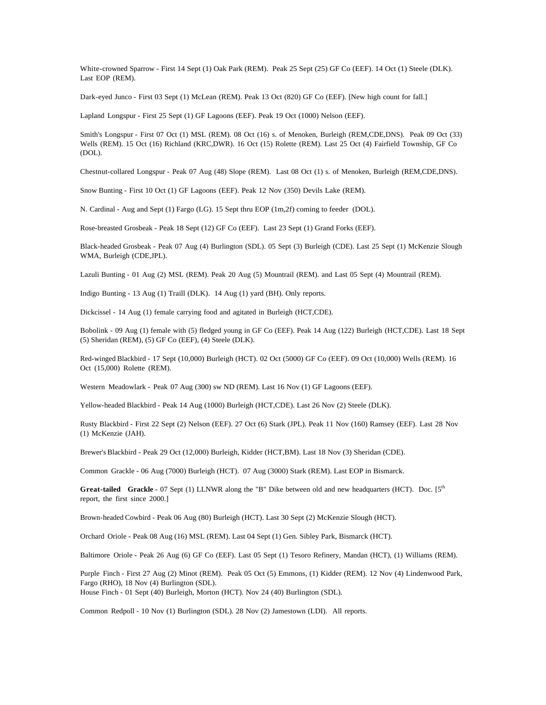White-crowned Sparrow - First 14 Sept (1) Oak Park (REM). Peak 25 Sept (25) GF Co (EEF). 14 Oct (1) Steele (DLK). Last EOP (REM).

Dark-eyed Junco - First 03 Sept (1) McLean (REM). Peak 13 Oct (820) GF Co (EEF). [New high count for fall.]

Lapland Longspur - First 25 Sept (1) GF Lagoons (EEF). Peak 19 Oct (1000) Nelson (EEF).

Smith's Longspur - First 07 Oct (1) MSL (REM). 08 Oct (16) s. of Menoken, Burleigh (REM,CDE,DNS). Peak 09 Oct (33) Wells (REM). 15 Oct (16) Richland (KRC,DWR). 16 Oct (15) Rolette (REM). Last 25 Oct (4) Fairfield Township, GF Co (DOL).

Chestnut-collared Longspur - Peak 07 Aug (48) Slope (REM). Last 08 Oct (1) s. of Menoken, Burleigh (REM,CDE,DNS).

Snow Bunting - First 10 Oct (1) GF Lagoons (EEF). Peak 12 Nov (350) Devils Lake (REM).

N. Cardinal - Aug and Sept (1) Fargo (LG). 15 Sept thru EOP (1m,2f) coming to feeder (DOL).

Rose-breasted Grosbeak - Peak 18 Sept (12) GF Co (EEF). Last 23 Sept (1) Grand Forks (EEF).

Black-headed Grosbeak - Peak 07 Aug (4) Burlington (SDL). 05 Sept (3) Burleigh (CDE). Last 25 Sept (1) McKenzie Slough WMA, Burleigh (CDE,JPL).

Lazuli Bunting - 01 Aug (2) MSL (REM). Peak 20 Aug (5) Mountrail (REM). and Last 05 Sept (4) Mountrail (REM).

Indigo Bunting - 13 Aug (1) Traill (DLK). 14 Aug (1) yard (BH). Only reports.

Dickcissel - 14 Aug (1) female carrying food and agitated in Burleigh (HCT,CDE).

Bobolink - 09 Aug (1) female with (5) fledged young in GF Co (EEF). Peak 14 Aug (122) Burleigh (HCT,CDE). Last 18 Sept (5) Sheridan (REM), (5) GF Co (EEF), (4) Steele (DLK).

Red-winged Blackbird - 17 Sept (10,000) Burleigh (HCT). 02 Oct (5000) GF Co (EEF). 09 Oct (10,000) Wells (REM). 16 Oct (15,000) Rolette (REM).

Western Meadowlark - Peak 07 Aug (300) sw ND (REM). Last 16 Nov (1) GF Lagoons (EEF).

Yellow-headed Blackbird - Peak 14 Aug (1000) Burleigh (HCT,CDE). Last 26 Nov (2) Steele (DLK).

Rusty Blackbird - First 22 Sept (2) Nelson (EEF). 27 Oct (6) Stark (JPL). Peak 11 Nov (160) Ramsey (EEF). Last 28 Nov (1) McKenzie (JAH).

Brewer's Blackbird - Peak 29 Oct (12,000) Burleigh, Kidder (HCT,BM). Last 18 Nov (3) Sheridan (CDE).

Common Grackle - 06 Aug (7000) Burleigh (HCT). 07 Aug (3000) Stark (REM). Last EOP in Bismarck.

Great-tailed Grackle - 07 Sept (1) LLNWR along the "B" Dike between old and new headquarters (HCT). Doc. [5<sup>th</sup> report, the first since 2000.]

Brown-headed Cowbird - Peak 06 Aug (80) Burleigh (HCT). Last 30 Sept (2) McKenzie Slough (HCT).

Orchard Oriole - Peak 08 Aug (16) MSL (REM). Last 04 Sept (1) Gen. Sibley Park, Bismarck (HCT).

Baltimore Oriole - Peak 26 Aug (6) GF Co (EEF). Last 05 Sept (1) Tesoro Refinery, Mandan (HCT), (1) Williams (REM).

Purple Finch - First 27 Aug (2) Minot (REM). Peak 05 Oct (5) Emmons, (1) Kidder (REM). 12 Nov (4) Lindenwood Park, Fargo (RHO), 18 Nov (4) Burlington (SDL). House Finch - 01 Sept (40) Burleigh, Morton (HCT). Nov 24 (40) Burlington (SDL).

Common Redpoll - 10 Nov (1) Burlington (SDL). 28 Nov (2) Jamestown (LDI). All reports.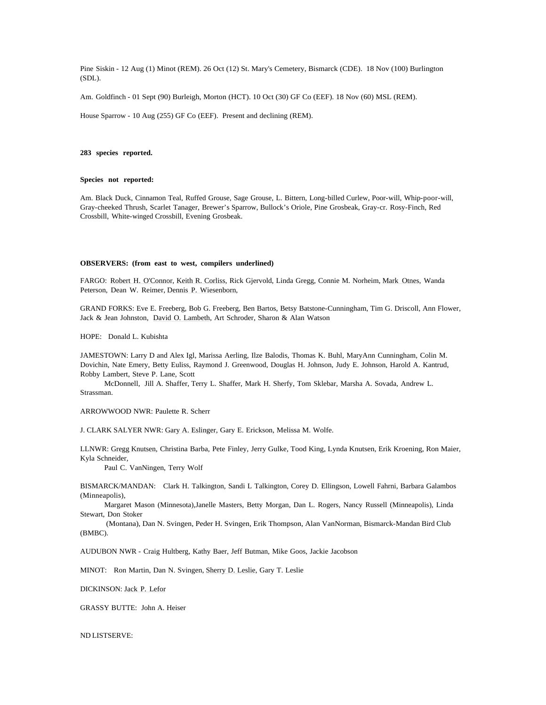Pine Siskin - 12 Aug (1) Minot (REM). 26 Oct (12) St. Mary's Cemetery, Bismarck (CDE). 18 Nov (100) Burlington (SDL).

Am. Goldfinch - 01 Sept (90) Burleigh, Morton (HCT). 10 Oct (30) GF Co (EEF). 18 Nov (60) MSL (REM).

House Sparrow - 10 Aug (255) GF Co (EEF). Present and declining (REM).

## **283 species reported.**

### **Species not reported:**

Am. Black Duck, Cinnamon Teal, Ruffed Grouse, Sage Grouse, L. Bittern, Long-billed Curlew, Poor-will, Whip-poor-will, Gray-cheeked Thrush, Scarlet Tanager, Brewer's Sparrow, Bullock's Oriole, Pine Grosbeak, Gray-cr. Rosy-Finch, Red Crossbill, White-winged Crossbill, Evening Grosbeak.

### **OBSERVERS: (from east to west, compilers underlined)**

FARGO: Robert H. O'Connor, Keith R. Corliss, Rick Gjervold, Linda Gregg, Connie M. Norheim, Mark Otnes, Wanda Peterson, Dean W. Reimer, Dennis P. Wiesenborn,

GRAND FORKS: Eve E. Freeberg, Bob G. Freeberg, Ben Bartos, Betsy Batstone-Cunningham, Tim G. Driscoll, Ann Flower, Jack & Jean Johnston, David O. Lambeth, Art Schroder, Sharon & Alan Watson

HOPE: Donald L. Kubishta

JAMESTOWN: Larry D and Alex Igl, Marissa Aerling, Ilze Balodis, Thomas K. Buhl, MaryAnn Cunningham, Colin M. Dovichin, Nate Emery, Betty Euliss, Raymond J. Greenwood, Douglas H. Johnson, Judy E. Johnson, Harold A. Kantrud, Robby Lambert, Steve P. Lane, Scott

McDonnell, Jill A. Shaffer, Terry L. Shaffer, Mark H. Sherfy, Tom Sklebar, Marsha A. Sovada, Andrew L. Strassman.

ARROWWOOD NWR: Paulette R. Scherr

J. CLARK SALYER NWR: Gary A. Eslinger, Gary E. Erickson, Melissa M. Wolfe.

LLNWR: Gregg Knutsen, Christina Barba, Pete Finley, Jerry Gulke, Tood King, Lynda Knutsen, Erik Kroening, Ron Maier, Kyla Schneider,

Paul C. VanNingen, Terry Wolf

BISMARCK/MANDAN: Clark H. Talkington, Sandi L Talkington, Corey D. Ellingson, Lowell Fahrni, Barbara Galambos (Minneapolis),

Margaret Mason (Minnesota),Janelle Masters, Betty Morgan, Dan L. Rogers, Nancy Russell (Minneapolis), Linda Stewart, Don Stoker

 (Montana), Dan N. Svingen, Peder H. Svingen, Erik Thompson, Alan VanNorman, Bismarck-Mandan Bird Club (BMBC).

AUDUBON NWR - Craig Hultberg, Kathy Baer, Jeff Butman, Mike Goos, Jackie Jacobson

MINOT: Ron Martin, Dan N. Svingen, Sherry D. Leslie, Gary T. Leslie

DICKINSON: Jack P. Lefor

GRASSY BUTTE: John A. Heiser

ND LISTSERVE: